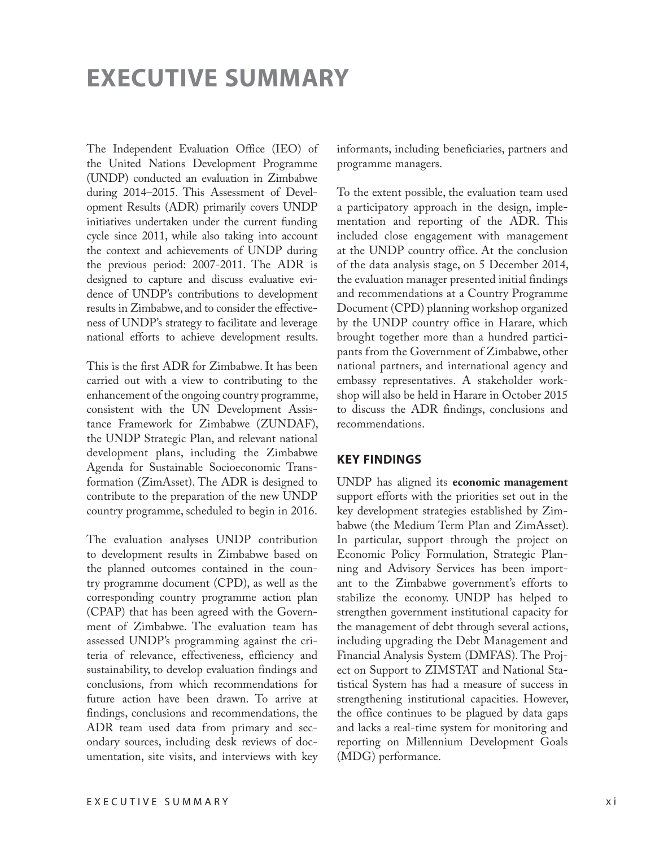# **EXECUTIVE SUMMARY**

The Independent Evaluation Office (IEO) of the United Nations Development Programme (UNDP) conducted an evaluation in Zimbabwe during 2014–2015. This Assessment of Development Results (ADR) primarily covers UNDP initiatives undertaken under the current funding cycle since 2011, while also taking into account the context and achievements of UNDP during the previous period: 2007-2011. The ADR is designed to capture and discuss evaluative evidence of UNDP's contributions to development results in Zimbabwe, and to consider the effectiveness of UNDP's strategy to facilitate and leverage national efforts to achieve development results.

This is the first ADR for Zimbabwe. It has been carried out with a view to contributing to the enhancement of the ongoing country programme, consistent with the UN Development Assistance Framework for Zimbabwe (ZUNDAF), the UNDP Strategic Plan, and relevant national development plans, including the Zimbabwe Agenda for Sustainable Socioeconomic Transformation (ZimAsset). The ADR is designed to contribute to the preparation of the new UNDP country programme, scheduled to begin in 2016.

The evaluation analyses UNDP contribution to development results in Zimbabwe based on the planned outcomes contained in the country programme document (CPD), as well as the corresponding country programme action plan (CPAP) that has been agreed with the Government of Zimbabwe. The evaluation team has assessed UNDP's programming against the criteria of relevance, effectiveness, efficiency and sustainability, to develop evaluation findings and conclusions, from which recommendations for future action have been drawn. To arrive at findings, conclusions and recommendations, the ADR team used data from primary and secondary sources, including desk reviews of documentation, site visits, and interviews with key informants, including beneficiaries, partners and programme managers.

To the extent possible, the evaluation team used a participatory approach in the design, implementation and reporting of the ADR. This included close engagement with management at the UNDP country office. At the conclusion of the data analysis stage, on 5 December 2014, the evaluation manager presented initial findings and recommendations at a Country Programme Document (CPD) planning workshop organized by the UNDP country office in Harare, which brought together more than a hundred participants from the Government of Zimbabwe, other national partners, and international agency and embassy representatives. A stakeholder workshop will also be held in Harare in October 2015 to discuss the ADR findings, conclusions and recommendations.

#### **KEY FINDINGS**

UNDP has aligned its **economic management** support efforts with the priorities set out in the key development strategies established by Zimbabwe (the Medium Term Plan and ZimAsset). In particular, support through the project on Economic Policy Formulation, Strategic Planning and Advisory Services has been important to the Zimbabwe government's efforts to stabilize the economy. UNDP has helped to strengthen government institutional capacity for the management of debt through several actions, including upgrading the Debt Management and Financial Analysis System (DMFAS). The Project on Support to ZIMSTAT and National Statistical System has had a measure of success in strengthening institutional capacities. However, the office continues to be plagued by data gaps and lacks a real-time system for monitoring and reporting on Millennium Development Goals (MDG) performance.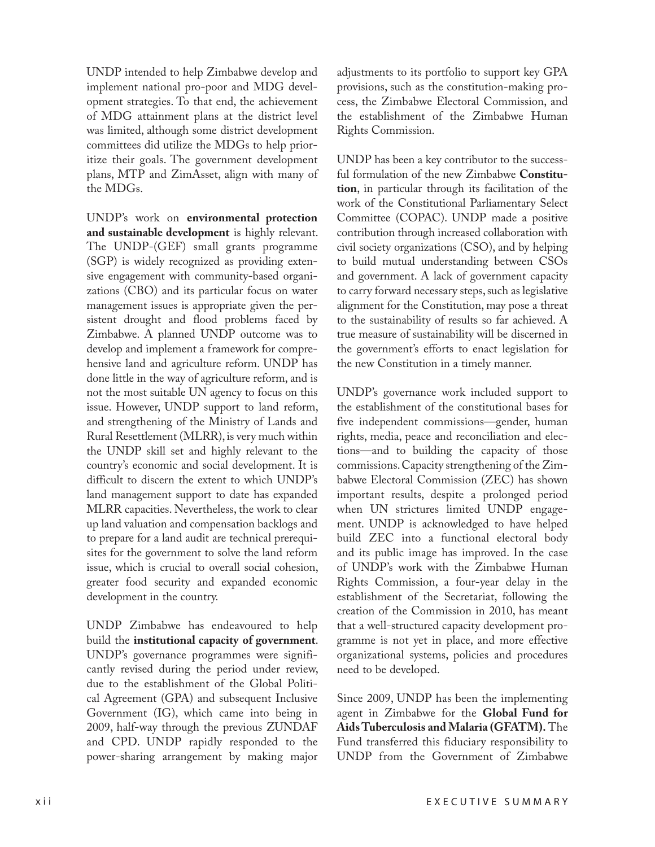UNDP intended to help Zimbabwe develop and implement national pro-poor and MDG development strategies. To that end, the achievement of MDG attainment plans at the district level was limited, although some district development committees did utilize the MDGs to help prioritize their goals. The government development plans, MTP and ZimAsset, align with many of the MDGs.

UNDP's work on **environmental protection and sustainable development** is highly relevant. The UNDP-(GEF) small grants programme (SGP) is widely recognized as providing extensive engagement with community-based organizations (CBO) and its particular focus on water management issues is appropriate given the persistent drought and flood problems faced by Zimbabwe. A planned UNDP outcome was to develop and implement a framework for comprehensive land and agriculture reform. UNDP has done little in the way of agriculture reform, and is not the most suitable UN agency to focus on this issue. However, UNDP support to land reform, and strengthening of the Ministry of Lands and Rural Resettlement (MLRR), is very much within the UNDP skill set and highly relevant to the country's economic and social development. It is difficult to discern the extent to which UNDP's land management support to date has expanded MLRR capacities. Nevertheless, the work to clear up land valuation and compensation backlogs and to prepare for a land audit are technical prerequisites for the government to solve the land reform issue, which is crucial to overall social cohesion, greater food security and expanded economic development in the country.

UNDP Zimbabwe has endeavoured to help build the **institutional capacity of government**. UNDP's governance programmes were significantly revised during the period under review, due to the establishment of the Global Political Agreement (GPA) and subsequent Inclusive Government (IG), which came into being in 2009, half-way through the previous ZUNDAF and CPD. UNDP rapidly responded to the power-sharing arrangement by making major

adjustments to its portfolio to support key GPA provisions, such as the constitution-making process, the Zimbabwe Electoral Commission, and the establishment of the Zimbabwe Human Rights Commission.

UNDP has been a key contributor to the successful formulation of the new Zimbabwe **Constitution**, in particular through its facilitation of the work of the Constitutional Parliamentary Select Committee (COPAC). UNDP made a positive contribution through increased collaboration with civil society organizations (CSO), and by helping to build mutual understanding between CSOs and government. A lack of government capacity to carry forward necessary steps, such as legislative alignment for the Constitution, may pose a threat to the sustainability of results so far achieved. A true measure of sustainability will be discerned in the government's efforts to enact legislation for the new Constitution in a timely manner.

UNDP's governance work included support to the establishment of the constitutional bases for five independent commissions—gender, human rights, media, peace and reconciliation and elections—and to building the capacity of those commissions. Capacity strengthening of the Zimbabwe Electoral Commission (ZEC) has shown important results, despite a prolonged period when UN strictures limited UNDP engagement. UNDP is acknowledged to have helped build ZEC into a functional electoral body and its public image has improved. In the case of UNDP's work with the Zimbabwe Human Rights Commission, a four-year delay in the establishment of the Secretariat, following the creation of the Commission in 2010, has meant that a well-structured capacity development programme is not yet in place, and more effective organizational systems, policies and procedures need to be developed.

Since 2009, UNDP has been the implementing agent in Zimbabwe for the **Global Fund for Aids Tuberculosis and Malaria (GFATM).** The Fund transferred this fiduciary responsibility to UNDP from the Government of Zimbabwe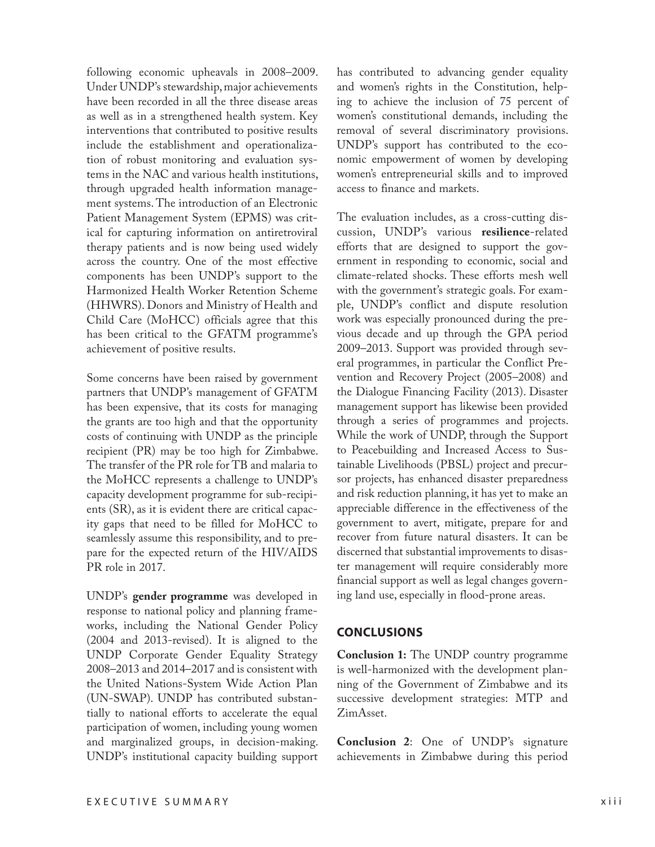following economic upheavals in 2008–2009. Under UNDP's stewardship, major achievements have been recorded in all the three disease areas as well as in a strengthened health system. Key interventions that contributed to positive results include the establishment and operationalization of robust monitoring and evaluation systems in the NAC and various health institutions, through upgraded health information management systems. The introduction of an Electronic Patient Management System (EPMS) was critical for capturing information on antiretroviral therapy patients and is now being used widely across the country. One of the most effective components has been UNDP's support to the Harmonized Health Worker Retention Scheme (HHWRS). Donors and Ministry of Health and Child Care (MoHCC) officials agree that this has been critical to the GFATM programme's achievement of positive results.

Some concerns have been raised by government partners that UNDP's management of GFATM has been expensive, that its costs for managing the grants are too high and that the opportunity costs of continuing with UNDP as the principle recipient (PR) may be too high for Zimbabwe. The transfer of the PR role for TB and malaria to the MoHCC represents a challenge to UNDP's capacity development programme for sub-recipients (SR), as it is evident there are critical capacity gaps that need to be filled for MoHCC to seamlessly assume this responsibility, and to prepare for the expected return of the HIV/AIDS PR role in 2017.

UNDP's **gender programme** was developed in response to national policy and planning frameworks, including the National Gender Policy (2004 and 2013-revised). It is aligned to the UNDP Corporate Gender Equality Strategy 2008–2013 and 2014–2017 and is consistent with the United Nations-System Wide Action Plan (UN-SWAP). UNDP has contributed substantially to national efforts to accelerate the equal participation of women, including young women and marginalized groups, in decision-making. UNDP's institutional capacity building support

has contributed to advancing gender equality and women's rights in the Constitution, helping to achieve the inclusion of 75 percent of women's constitutional demands, including the removal of several discriminatory provisions. UNDP's support has contributed to the economic empowerment of women by developing women's entrepreneurial skills and to improved access to finance and markets.

The evaluation includes, as a cross-cutting discussion, UNDP's various **resilience**-related efforts that are designed to support the government in responding to economic, social and climate-related shocks. These efforts mesh well with the government's strategic goals. For example, UNDP's conflict and dispute resolution work was especially pronounced during the previous decade and up through the GPA period 2009–2013. Support was provided through several programmes, in particular the Conflict Prevention and Recovery Project (2005–2008) and the Dialogue Financing Facility (2013). Disaster management support has likewise been provided through a series of programmes and projects. While the work of UNDP, through the Support to Peacebuilding and Increased Access to Sustainable Livelihoods (PBSL) project and precursor projects, has enhanced disaster preparedness and risk reduction planning, it has yet to make an appreciable difference in the effectiveness of the government to avert, mitigate, prepare for and recover from future natural disasters. It can be discerned that substantial improvements to disaster management will require considerably more financial support as well as legal changes governing land use, especially in flood-prone areas.

### **CONCLUSIONS**

**Conclusion 1:** The UNDP country programme is well-harmonized with the development planning of the Government of Zimbabwe and its successive development strategies: MTP and ZimAsset.

**Conclusion 2**: One of UNDP's signature achievements in Zimbabwe during this period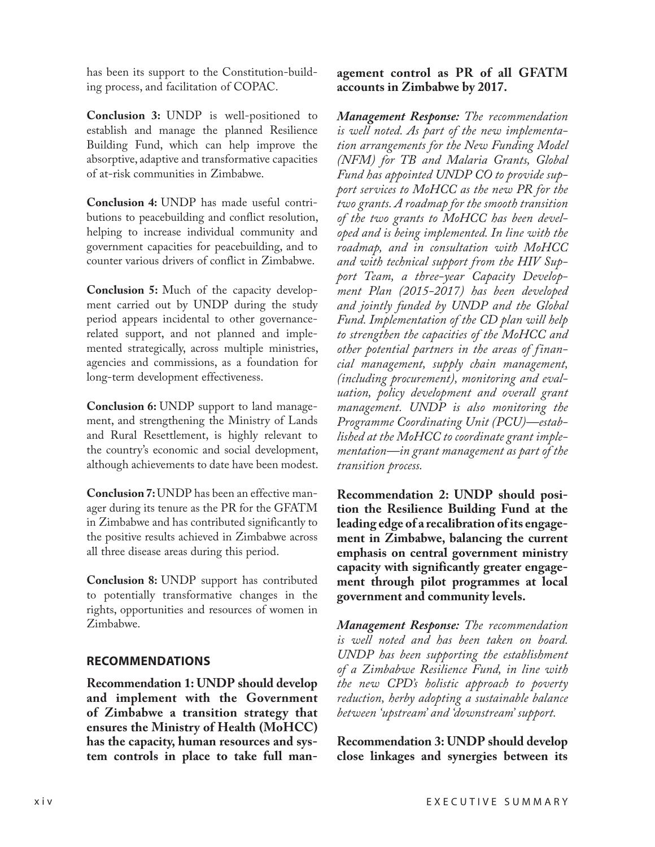has been its support to the Constitution-building process, and facilitation of COPAC.

**Conclusion 3:** UNDP is well-positioned to establish and manage the planned Resilience Building Fund, which can help improve the absorptive, adaptive and transformative capacities of at-risk communities in Zimbabwe.

**Conclusion 4:** UNDP has made useful contributions to peacebuilding and conflict resolution, helping to increase individual community and government capacities for peacebuilding, and to counter various drivers of conflict in Zimbabwe.

**Conclusion 5:** Much of the capacity development carried out by UNDP during the study period appears incidental to other governancerelated support, and not planned and implemented strategically, across multiple ministries, agencies and commissions, as a foundation for long-term development effectiveness.

**Conclusion 6:** UNDP support to land management, and strengthening the Ministry of Lands and Rural Resettlement, is highly relevant to the country's economic and social development, although achievements to date have been modest.

**Conclusion 7:** UNDP has been an effective manager during its tenure as the PR for the GFATM in Zimbabwe and has contributed significantly to the positive results achieved in Zimbabwe across all three disease areas during this period.

**Conclusion 8:** UNDP support has contributed to potentially transformative changes in the rights, opportunities and resources of women in Zimbabwe.

## **RECOMMENDATIONS**

**Recommendation 1: UNDP should develop and implement with the Government of Zimbabwe a transition strategy that ensures the Ministry of Health (MoHCC) has the capacity, human resources and system controls in place to take full man-**

## **agement control as PR of all GFATM accounts in Zimbabwe by 2017.**

*Management Response: The recommendation is well noted. As part of the new implementation arrangements for the New Funding Model (NFM) for TB and Malaria Grants, Global Fund has appointed UNDP CO to provide support services to MoHCC as the new PR for the two grants. A roadmap for the smooth transition of the two grants to MoHCC has been developed and is being implemented. In line with the roadmap, and in consultation with MoHCC and with technical support from the HIV Support Team, a three-year Capacity Development Plan (2015-2017) has been developed and jointly funded by UNDP and the Global Fund. Implementation of the CD plan will help to strengthen the capacities of the MoHCC and other potential partners in the areas of financial management, supply chain management, (including procurement), monitoring and evaluation, policy development and overall grant management. UNDP is also monitoring the Programme Coordinating Unit (PCU)—established at the MoHCC to coordinate grant implementation—in grant management as part of the transition process.*

**Recommendation 2: UNDP should position the Resilience Building Fund at the leading edge of a recalibration of its engagement in Zimbabwe, balancing the current emphasis on central government ministry capacity with significantly greater engagement through pilot programmes at local government and community levels.** 

*Management Response: The recommendation is well noted and has been taken on board. UNDP has been supporting the establishment of a Zimbabwe Resilience Fund, in line with the new CPD's holistic approach to poverty reduction, herby adopting a sustainable balance between 'upstream' and 'downstream' support.* 

**Recommendation 3: UNDP should develop close linkages and synergies between its**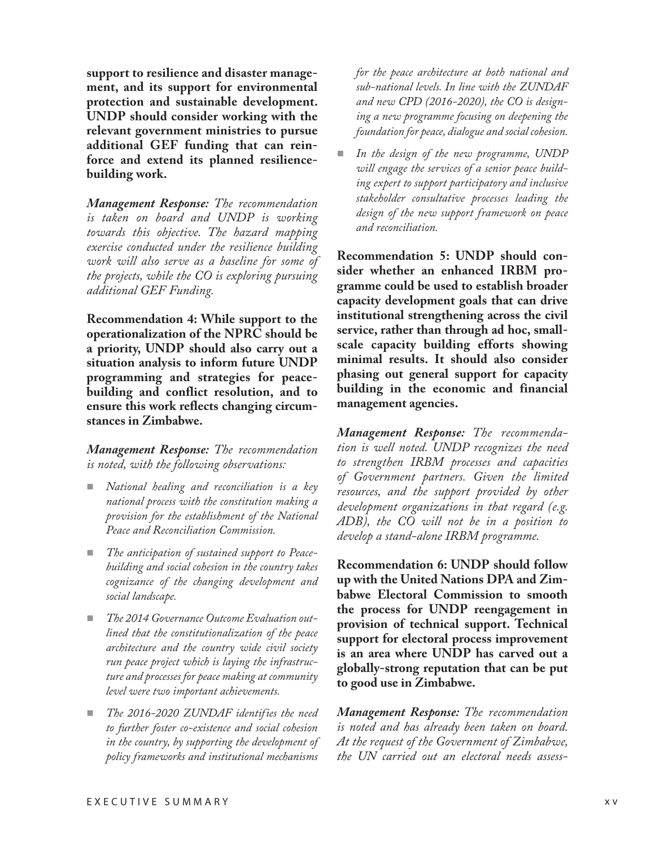**support to resilience and disaster management, and its support for environmental protection and sustainable development. UNDP should consider working with the relevant government ministries to pursue additional GEF funding that can reinforce and extend its planned resiliencebuilding work.** 

*Management Response: The recommendation is taken on board and UNDP is working towards this objective. The hazard mapping exercise conducted under the resilience building work will also serve as a baseline for some of the projects, while the CO is exploring pursuing additional GEF Funding.*

**Recommendation 4: While support to the operationalization of the NPRC should be a priority, UNDP should also carry out a situation analysis to inform future UNDP programming and strategies for peacebuilding and conflict resolution, and to ensure this work reflects changing circumstances in Zimbabwe.**

*Management Response: The recommendation is noted, with the following observations:*

- *National healing and reconciliation is a key national process with the constitution making a provision for the establishment of the National Peace and Reconciliation Commission.*
- *The anticipation of sustained support to Peacebuilding and social cohesion in the country takes cognizance of the changing development and social landscape.*
- *The 2014 Governance Outcome Evaluation outlined that the constitutionalization of the peace architecture and the country wide civil society run peace project which is laying the infrastructure and processes for peace making at community level were two important achievements.*
- *The 2016-2020 ZUNDAF identifies the need to further foster co-existence and social cohesion in the country, by supporting the development of policy frameworks and institutional mechanisms*

*for the peace architecture at both national and sub-national levels. In line with the ZUNDAF and new CPD (2016-2020), the CO is designing a new programme focusing on deepening the foundation for peace, dialogue and social cohesion.* 

 *In the design of the new programme, UNDP will engage the services of a senior peace building expert to support participatory and inclusive stakeholder consultative processes leading the design of the new support framework on peace and reconciliation.*

**Recommendation 5: UNDP should consider whether an enhanced IRBM programme could be used to establish broader capacity development goals that can drive institutional strengthening across the civil service, rather than through ad hoc, smallscale capacity building efforts showing minimal results. It should also consider phasing out general support for capacity building in the economic and financial management agencies.** 

*Management Response: The recommendation is well noted. UNDP recognizes the need to strengthen IRBM processes and capacities of Government partners. Given the limited resources, and the support provided by other development organizations in that regard (e.g. ADB), the CO will not be in a position to develop a stand-alone IRBM programme.*

**Recommendation 6: UNDP should follow up with the United Nations DPA and Zimbabwe Electoral Commission to smooth the process for UNDP reengagement in provision of technical support. Technical support for electoral process improvement is an area where UNDP has carved out a globally-strong reputation that can be put to good use in Zimbabwe.** 

*Management Response: The recommendation is noted and has already been taken on board. At the request of the Government of Zimbabwe, the UN carried out an electoral needs assess-*